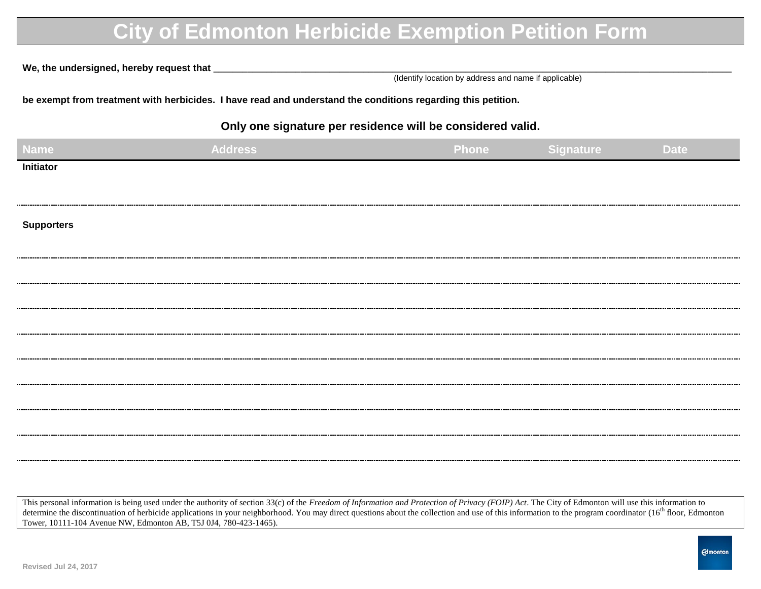## **City of Edmonton Herbicide Exemption Petition Form**

We, the undersigned, hereby request that

(Identify location by address and name if applicable)

**be exempt from treatment with herbicides. I have read and understand the conditions regarding this petition.** 

## **Only one signature per residence will be considered valid.**

| <b>Name</b>       | <b>Address</b> | Phone | Signature | <b>Date</b>                           |
|-------------------|----------------|-------|-----------|---------------------------------------|
| Initiator         |                |       |           |                                       |
|                   |                |       |           |                                       |
|                   |                |       |           |                                       |
| <b>Supporters</b> |                |       |           |                                       |
|                   |                |       |           | ------------------------------------- |
|                   |                |       |           |                                       |
|                   |                |       |           |                                       |
|                   |                |       |           |                                       |
|                   |                |       |           |                                       |
|                   |                |       |           |                                       |
|                   |                |       |           |                                       |
|                   |                |       |           |                                       |
|                   |                |       |           |                                       |
| ----------------  |                |       |           |                                       |
|                   |                |       |           | ----------------------------------    |
|                   |                |       |           |                                       |

This personal information is being used under the authority of section 33(c) of the *Freedom of Information and Protection of Privacy (FOIP) Act*. The City of Edmonton will use this information to determine the discontinuation of herbicide applications in your neighborhood. You may direct questions about the collection and use of this information to the program coordinator (16<sup>th</sup> floor, Edmonton Tower, 10111-104 Avenue NW, Edmonton AB, T5J 0J4, 780-423-1465).